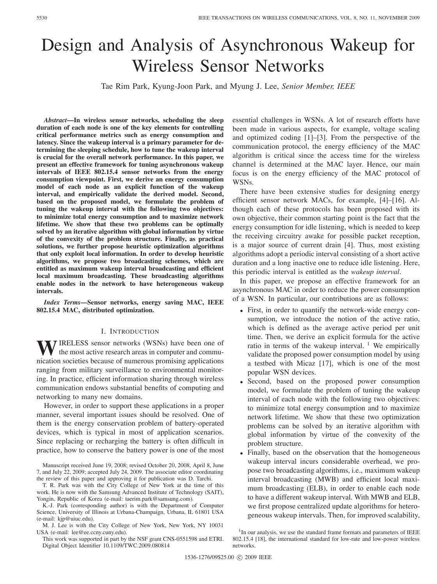# Design and Analysis of Asynchronous Wakeup for Wireless Sensor Networks

Tae Rim Park, Kyung-Joon Park, and Myung J. Lee, *Senior Member, IEEE*

*Abstract***—In wireless sensor networks, scheduling the sleep duration of each node is one of the key elements for controlling critical performance metrics such as energy consumption and latency. Since the wakeup interval is a primary parameter for determining the sleeping schedule, how to tune the wakeup interval is crucial for the overall network performance. In this paper, we present an effective framework for tuning asynchronous wakeup intervals of IEEE 802.15.4 sensor networks from the energy consumption viewpoint. First, we derive an energy consumption model of each node as an explicit function of the wakeup interval, and empirically validate the derived model. Second, based on the proposed model, we formulate the problem of tuning the wakeup interval with the following two objectives: to minimize total energy consumption and to maximize network lifetime. We show that these two problems can be optimally solved by an iterative algorithm with global information by virtue of the convexity of the problem structure. Finally, as practical solutions, we further propose heuristic optimization algorithms that only exploit local information. In order to develop heuristic algorithms, we propose two broadcasting schemes, which are entitled as maximum wakeup interval broadcasting and efficient local maximum broadcasting. These broadcasting algorithms enable nodes in the network to have heterogeneous wakeup intervals.**

*Index Terms***—Sensor networks, energy saving MAC, IEEE 802.15.4 MAC, distributed optimization.**

## I. INTRODUCTION

**TIRELESS** sensor networks (WSNs) have been one of the most active research areas in computer and communication societies because of numerous promising applications ranging from military surveillance to environmental monitoring. In practice, efficient information sharing through wireless communication endows substantial benefits of computing and networking to many new domains.

However, in order to support these applications in a proper manner, several important issues should be resolved. One of them is the energy conservation problem of battery-operated devices, which is typical in most of application scenarios. Since replacing or recharging the battery is often difficult in practice, how to conserve the battery power is one of the most

K.-J. Park (corresponding author) is with the Department of Computer Science, University of Illinois at Urbana-Champaign, Urbana, IL 61801 USA (e-mail: kjp@uiuc.edu).

M. J. Lee is with the City College of New York, New York, NY 10031 USA (e-mail: lee@ee.ccny.cuny.edu).

This work was supported in part by the NSF grant CNS-0551598 and ETRI. Digital Object Identifier 10.1109/TWC.2009.080814

essential challenges in WSNs. A lot of research efforts have been made in various aspects, for example, voltage scaling and optimized coding [1]–[3]. From the perspective of the communication protocol, the energy efficiency of the MAC algorithm is critical since the access time for the wireless channel is determined at the MAC layer. Hence, our main focus is on the energy efficiency of the MAC protocol of WSNs.

There have been extensive studies for designing energy efficient sensor network MACs, for example, [4]–[16]. Although each of these protocols has been proposed with its own objective, their common starting point is the fact that the energy consumption for idle listening, which is needed to keep the receiving circuitry awake for possible packet reception, is a major source of current drain [4]. Thus, most existing algorithms adopt a periodic interval consisting of a short active duration and a long inactive one to reduce idle listening. Here, this periodic interval is entitled as the *wakeup interval*.

In this paper, we propose an effective framework for an asynchronous MAC in order to reduce the power consumption of a WSN. In particular, our contributions are as follows:

- <sup>∙</sup> First, in order to quantify the network-wide energy consumption, we introduce the notion of the active ratio, which is defined as the average active period per unit time. Then, we derive an explicit formula for the active ratio in terms of the wakeup interval. <sup>1</sup> We empirically validate the proposed power consumption model by using a testbed with Micaz [17], which is one of the most popular WSN devices.
- <sup>∙</sup> Second, based on the proposed power consumption model, we formulate the problem of tuning the wakeup interval of each node with the following two objectives: to minimize total energy consumption and to maximize network lifetime. We show that these two optimization problems can be solved by an iterative algorithm with global information by virtue of the convexity of the problem structure.
- <sup>∙</sup> Finally, based on the observation that the homogeneous wakeup interval incurs considerable overhead, we propose two broadcasting algorithms, i.e., maximum wakeup interval broadcasting (MWB) and efficient local maximum broadcasting (ELB), in order to enable each node to have a different wakeup interval. With MWB and ELB, we first propose centralized update algorithms for heterogeneous wakeup intervals. Then, for improved scalability,

Manuscript received June 19, 2008; revised October 20, 2008, April 8, June 7, and July 22, 2009; accepted July 24, 2009. The associate editor coordinating the review of this paper and approving it for publication was D. Tarchi.

T. R. Park was with the City College of New York at the time of this work. He is now with the Samsung Advanced Institute of Technology (SAIT), Yongin, Republic of Korea (e-mail: taerim.park@samsung.com).

 $1$ In our analysis, we use the standard frame formats and parameters of IEEE 802.15.4 [18], the international standard for low-rate and low-power wireless networks.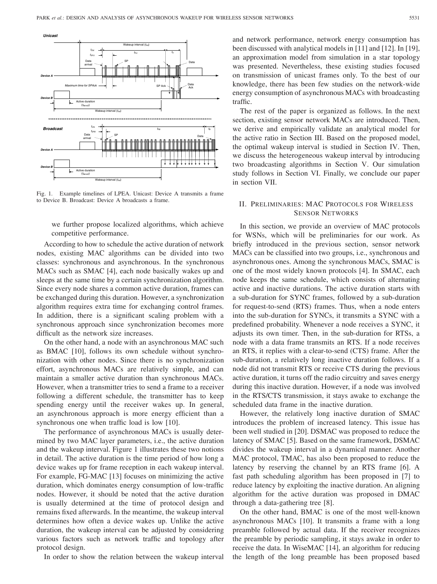

Fig. 1. Example timelines of LPEA. Unicast: Device A transmits a frame to Device B. Broadcast: Device A broadcasts a frame.

we further propose localized algorithms, which achieve competitive performance.

According to how to schedule the active duration of network nodes, existing MAC algorithms can be divided into two classes: synchronous and asynchronous. In the synchronous MACs such as SMAC [4], each node basically wakes up and sleeps at the same time by a certain synchronization algorithm. Since every node shares a common active duration, frames can be exchanged during this duration. However, a synchronization algorithm requires extra time for exchanging control frames. In addition, there is a significant scaling problem with a synchronous approach since synchronization becomes more difficult as the network size increases.

On the other hand, a node with an asynchronous MAC such as BMAC [10], follows its own schedule without synchronization with other nodes. Since there is no synchronization effort, asynchronous MACs are relatively simple, and can maintain a smaller active duration than synchronous MACs. However, when a transmitter tries to send a frame to a receiver following a different schedule, the transmitter has to keep spending energy until the receiver wakes up. In general, an asynchronous approach is more energy efficient than a synchronous one when traffic load is low [10].

The performance of asynchronous MACs is usually determined by two MAC layer parameters, i.e., the active duration and the wakeup interval. Figure 1 illustrates these two notions in detail. The active duration is the time period of how long a device wakes up for frame reception in each wakeup interval. For example, FG-MAC [13] focuses on minimizing the active duration, which dominates energy consumption of low-traffic nodes. However, it should be noted that the active duration is usually determined at the time of protocol design and remains fixed afterwards. In the meantime, the wakeup interval determines how often a device wakes up. Unlike the active duration, the wakeup interval can be adjusted by considering various factors such as network traffic and topology after protocol design.

In order to show the relation between the wakeup interval

and network performance, network energy consumption has been discussed with analytical models in [11] and [12]. In [19], an approximation model from simulation in a star topology was presented. Nevertheless, these existing studies focused on transmission of unicast frames only. To the best of our knowledge, there has been few studies on the network-wide energy consumption of asynchronous MACs with broadcasting traffic.

The rest of the paper is organized as follows. In the next section, existing sensor network MACs are introduced. Then, we derive and empirically validate an analytical model for the active ratio in Section III. Based on the proposed model, the optimal wakeup interval is studied in Section IV. Then, we discuss the heterogeneous wakeup interval by introducing two broadcasting algorithms in Section V. Our simulation study follows in Section VI. Finally, we conclude our paper in section VII.

## II. PRELIMINARIES: MAC PROTOCOLS FOR WIRELESS SENSOR NETWORKS

In this section, we provide an overview of MAC protocols for WSNs, which will be preliminaries for our work. As briefly introduced in the previous section, sensor network MACs can be classified into two groups, i.e., synchronous and asynchronous ones. Among the synchronous MACs, SMAC is one of the most widely known protocols [4]. In SMAC, each node keeps the same schedule, which consists of alternating active and inactive durations. The active duration starts with a sub-duration for SYNC frames, followed by a sub-duration for request-to-send (RTS) frames. Thus, when a node enters into the sub-duration for SYNCs, it transmits a SYNC with a predefined probability. Whenever a node receives a SYNC, it adjusts its own timer. Then, in the sub-duration for RTSs, a node with a data frame transmits an RTS. If a node receives an RTS, it replies with a clear-to-send (CTS) frame. After the sub-duration, a relatively long inactive duration follows. If a node did not transmit RTS or receive CTS during the previous active duration, it turns off the radio circuitry and saves energy during this inactive duration. However, if a node was involved in the RTS/CTS transmission, it stays awake to exchange the scheduled data frame in the inactive duration.

However, the relatively long inactive duration of SMAC introduces the problem of increased latency. This issue has been well studied in [20]. DSMAC was proposed to reduce the latency of SMAC [5]. Based on the same framework, DSMAC divides the wakeup interval in a dynamical manner. Another MAC protocol, TMAC, has also been proposed to reduce the latency by reserving the channel by an RTS frame [6]. A fast path scheduling algorithm has been proposed in [7] to reduce latency by exploiting the inactive duration. An aligning algorithm for the active duration was proposed in DMAC through a data-gathering tree [8].

On the other hand, BMAC is one of the most well-known asynchronous MACs [10]. It transmits a frame with a long preamble followed by actual data. If the receiver recognizes the preamble by periodic sampling, it stays awake in order to receive the data. In WiseMAC [14], an algorithm for reducing the length of the long preamble has been proposed based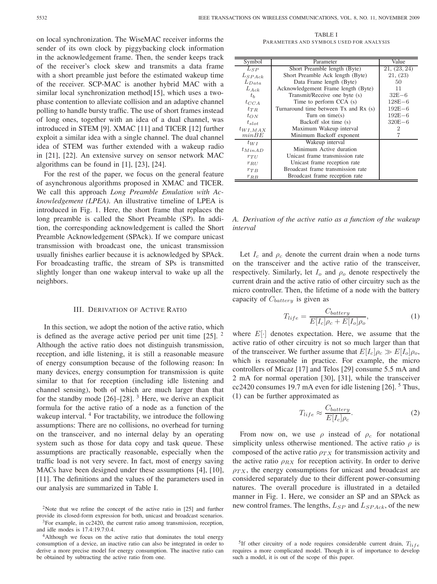on local synchronization. The WiseMAC receiver informs the sender of its own clock by piggybacking clock information in the acknowledgement frame. Then, the sender keeps track of the receiver's clock skew and transmits a data frame with a short preamble just before the estimated wakeup time of the receiver. SCP-MAC is another hybrid MAC with a similar local synchronization method[15], which uses a twophase contention to alleviate collision and an adaptive channel polling to handle bursty traffic. The use of short frames instead of long ones, together with an idea of a dual channel, was introduced in STEM [9]. XMAC [11] and TICER [12] further exploit a similar idea with a single channel. The dual channel idea of STEM was further extended with a wakeup radio in [21], [22]. An extensive survey on sensor network MAC algorithms can be found in [1], [23], [24].

For the rest of the paper, we focus on the general feature of asynchronous algorithms proposed in XMAC and TICER. We call this approach *Long Preamble Emulation with Acknowledgement (LPEA)*. An illustrative timeline of LPEA is introduced in Fig. 1. Here, the short frame that replaces the long preamble is called the Short Preamble (SP). In addition, the corresponding acknowledgement is called the Short Preamble Acknowledgement (SPAck). If we compare unicast transmission with broadcast one, the unicast transmission usually finishes earlier because it is acknowledged by SPAck. For broadcasting traffic, the stream of SPs is transmitted slightly longer than one wakeup interval to wake up all the neighbors.

## III. DERIVATION OF ACTIVE RATIO

In this section, we adopt the notion of the active ratio, which is defined as the average active period per unit time  $[25]$ . <sup>2</sup> Although the active ratio does not distinguish transmission, reception, and idle listening, it is still a reasonable measure of energy consumption because of the following reason: In many devices, energy consumption for transmission is quite similar to that for reception (including idle listening and channel sensing), both of which are much larger than that for the standby mode  $[26]-[28]$ . <sup>3</sup> Here, we derive an explicit formula for the active ratio of a node as a function of the wakeup interval.<sup>4</sup> For tractability, we introduce the following assumptions: There are no collisions, no overhead for turning on the transceiver, and no internal delay by an operating system such as those for data copy and task queue. These assumptions are practically reasonable, especially when the traffic load is not very severe. In fact, most of energy saving MACs have been designed under these assumptions [4], [10], [11]. The definitions and the values of the parameters used in our analysis are summarized in Table I.

TABLE I PARAMETERS AND SYMBOLS USED FOR ANALYSIS

| Symbol       | Parameter                             | Value        |  |  |
|--------------|---------------------------------------|--------------|--|--|
| $L_{SP}$     | Short Preamble length (Byte)          | 21, (23, 24) |  |  |
| $L_{SPAck}$  | Short Preamble Ack length (Byte)      | 21, (23)     |  |  |
| $L_{Data}$   | Data Frame length (Byte)              | 50           |  |  |
| $L_{Ack}$    | Acknowledgement Frame length (Byte)   | 11           |  |  |
| $t_b$        | Transmit/Receive one byte (s)         | $32E-6$      |  |  |
| $t_{CCA}$    | Time to perform CCA (s)               | $128E - 6$   |  |  |
| $t_{TR}$     | Turnaround time between Tx and Rx (s) | $192E-6$     |  |  |
| $t_{ON}$     | Turn on time $(s)$                    | $192E-6$     |  |  |
| $t_{slot}$   | Backoff slot time (s)                 | $320E - 6$   |  |  |
| $t_{WI,MAX}$ | Maximum Wakeup interval               | 2            |  |  |
| minBE        | Minimum Backoff exponent              |              |  |  |
| $t_{WI}$     | Wakeup interval                       |              |  |  |
| $t_{MinAD}$  | Minimum Active duration               |              |  |  |
| $r_{TI}$     | Unicast frame transmission rate       |              |  |  |
| $r_{RII}$    | Unicast frame reception rate          |              |  |  |
| $r_{TB}$     | Broadcast frame transmission rate     |              |  |  |
| $r_{RB}$     | Broadcast frame reception rate        |              |  |  |

*A. Derivation of the active ratio as a function of the wakeup interval*

Let  $I_c$  and  $\rho_c$  denote the current drain when a node turns on the transceiver and the active ratio of the transceiver, respectively. Similarly, let  $I_0$  and  $\rho_0$  denote respectively the current drain and the active ratio of other circuitry such as the micro controller. Then, the lifetime of a node with the battery capacity of  $C_{battery}$  is given as

$$
T_{life} = \frac{C_{battery}}{E[I_c]\rho_c + E[I_o]\rho_o},\tag{1}
$$

where  $E[\cdot]$  denotes expectation. Here, we assume that the active ratio of other circuitry is not so much larger than that of the transceiver. We further assume that  $E[I_c]\rho_c \gg E[I_o]\rho_o$ , which is reasonable in practice. For example, the micro controllers of Micaz [17] and Telos [29] consume 5.5 mA and 2 mA for normal operation [30], [31], while the transceiver cc2420 consumes 19.7 mA even for idle listening  $[26]$ . <sup>5</sup> Thus, (1) can be further approximated as

$$
T_{life} \approx \frac{C_{battery}}{E[I_c]\rho_c}.\tag{2}
$$

From now on, we use  $\rho$  instead of  $\rho_c$  for notational simplicity unless otherwise mentioned. The active ratio  $\rho$  is composed of the active ratio  $\rho_{TX}$  for transmission activity and the active ratio  $\rho_{RX}$  for reception activity. In order to derive  $\rho_{TX}$ , the energy consumptions for unicast and broadcast are considered separately due to their different power-consuming natures. The overall procedure is illustrated in a detailed manner in Fig. 1. Here, we consider an SP and an SPAck as new control frames. The lengths,  $L_{SP}$  and  $L_{SPack}$ , of the new

<sup>2</sup>Note that we refine the concept of the active ratio in [25] and further provide its closed-form expression for both, unicast and broadcast scenarios. 3For example, in cc2420, the current ratio among transmission, reception, and idle modes is 17.4:19.7:0.4.

<sup>&</sup>lt;sup>4</sup>Although we focus on the active ratio that dominates the total energy consumption of a device, an inactive ratio can also be integrated in order to derive a more precise model for energy consumption. The inactive ratio can be obtained by subtracting the active ratio from one.

<sup>&</sup>lt;sup>5</sup>If other circuitry of a node requires considerable current drain,  $T_{life}$ requires a more complicated model. Though it is of importance to develop such a model, it is out of the scope of this paper.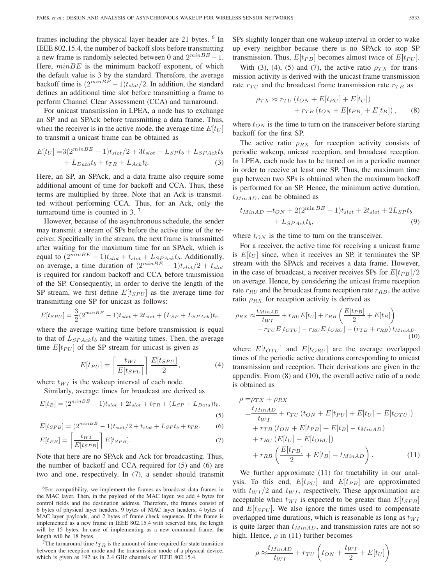frames including the physical layer header are 21 bytes. <sup>6</sup> In IEEE 802.15.4, the number of backoff slots before transmitting a new frame is randomly selected between 0 and  $2^{minBE} - 1$ . Here,  $minBE$  is the minimum backoff exponent, of which the default value is 3 by the standard. Therefore, the average backoff time is  $(2^{minBE} - 1)t_{slot}/2$ . In addition, the standard defines an additional time slot before transmitting a frame to perform Channel Clear Assessment (CCA) and turnaround.

For unicast transmission in LPEA, a node has to exchange an SP and an SPAck before transmitting a data frame. Thus, when the receiver is in the active mode, the average time  $E[t_U]$ to transmit a unicast frame can be obtained as

$$
E[t_U] = 3(2^{minBE} - 1)t_{slot}/2 + 3t_{slot} + L_{SP}t_b + L_{SPAck}t_b
$$
  
+ 
$$
L_{Data}t_b + t_{TR} + L_{Ack}t_b.
$$
 (3)

Here, an SP, an SPAck, and a data frame also require some additional amount of time for backoff and CCA. Thus, these terms are multiplied by three. Note that an Ack is transmitted without performing CCA. Thus, for an Ack, only the turnaround time is counted in 3.<sup>7</sup>

However, because of the asynchronous schedule, the sender may transmit a stream of SPs before the active time of the receiver. Specifically in the stream, the next frame is transmitted after waiting for the maximum time for an SPAck, which is equal to  $(2^{minBE} - 1)t_{slot} + t_{slot} + L_{SPAck}t_b$ . Additionally, on average, a time duration of  $(2^{minBE} - 1)t_{slot}/2 + t_{slot}$ is required for random backoff and CCA before transmission of the SP. Consequently, in order to derive the length of the SP stream, we first define  $E[t_{SPU}]$  as the average time for transmitting one SP for unicast as follows:

$$
E[t_{SPU}] = \frac{3}{2}(2^{minBE} - 1)t_{slot} + 2t_{slot} + (L_{SP} + L_{SPack})t_b,
$$

where the average waiting time before transmission is equal to that of  $L_{SPAck}t_b$  and the waiting times. Then, the average time  $E[t_{PU}]$  of the SP stream for unicast is given as

$$
E[t_{PU}] = \left[\frac{t_{WI}}{E[t_{SPU}]} \right] \frac{E[t_{SPU}]}{2}, \tag{4}
$$

where  $t_{WI}$  is the wakeup interval of each node.

Similarly, average times for broadcast are derived as

$$
E[t_B] = (2^{minBE} - 1)t_{slot} + 2t_{slot} + t_{TR} + (L_{SP} + L_{Data})t_b.
$$
\n
$$
(5)
$$

$$
E[t_{SPB}] = (2^{minBE} - 1)t_{slot}/2 + t_{slot} + L_{SP}t_b + t_{TR}.
$$
 (6)

$$
E[t_{PB}] = \left[\frac{t_{WI}}{E[t_{SPB}]}\right]E[t_{SPB}].
$$
\n(7)

Note that here are no SPAck and Ack for broadcasting. Thus, the number of backoff and CCA required for (5) and (6) are two and one, respectively. In (7), a sender should transmit

6For compatibility, we implement the frames as broadcast data frames in the MAC layer. Then, in the payload of the MAC layer, we add 4 bytes for control fields and the destination address. Therefore, the frames consist of 6 bytes of physical layer headers, 9 bytes of MAC layer headers, 4 bytes of MAC layer payloads, and 2 bytes of frame check sequence. If the frame is implemented as a new frame in IEEE 802.15.4 with reserved bits, the length will be 15 bytes. In case of implementing as a new command frame, the length will be 18 bytes.

The turnaround time  $t_{TR}$  is the amount of time required for state transition between the reception mode and the transmission mode of a physical device, which is given as 192 us in 2.4 GHz channels of IEEE 802.15.4.

SPs slightly longer than one wakeup interval in order to wake up every neighbor because there is no SPAck to stop SP transmission. Thus,  $E[t_{PB}]$  becomes almost twice of  $E[t_{PU}]$ .

With (3), (4), (5) and (7), the active ratio  $\rho_{TX}$  for transmission activity is derived with the unicast frame transmission rate  $r_{TU}$  and the broadcast frame transmission rate  $r_{TB}$  as

$$
\rho_{TX} \approx r_{TU} (t_{ON} + E[tp_U] + E[tp]) + r_{TB} (t_{ON} + E[tp_B] + E[tp]), \qquad (8)
$$

where  $t_{ON}$  is the time to turn on the transceiver before starting backoff for the first SP.

The active ratio  $\rho_{RX}$  for reception activity consists of periodic wakeup, unicast reception, and broadcast reception. In LPEA, each node has to be turned on in a periodic manner in order to receive at least one SP. Thus, the maximum time gap between two SPs is obtained when the maximum backoff is performed for an SP. Hence, the minimum active duration,  $t_{MinAD}$ , can be obtained as

$$
t_{MinAD} = t_{ON} + 2(2^{\min BE} - 1)t_{slot} + 2t_{slot} + 2L_{SP}t_b
$$
  
+  $L_{SPAck}t_b$ , (9)

where  $t_{ON}$  is the time to turn on the transceiver.

For a receiver, the active time for receiving a unicast frame is  $E[t_U]$  since, when it receives an SP, it terminates the SP stream with the SPAck and receives a data frame. However, in the case of broadcast, a receiver receives SPs for  $E[t_{PB}]/2$ on average. Hence, by considering the unicast frame reception rate  $r_{RU}$  and the broadcast frame reception rate  $r_{RB}$ , the active ratio  $\rho_{RX}$  for reception activity is derived as

$$
\rho_{RX} \approx \frac{t_{MinAD}}{t_{WI}} + r_{RU}E[t_U] + r_{RB}\left(\frac{E[t_{PB}]}{2} + E[t_B]\right) - r_{TU}E[t_{OTU}] - r_{RU}E[t_{ORU}] - (r_{TB} + r_{RB})t_{MinAD},
$$
\n(10)

where  $E[t_{OTU}]$  and  $E[t_{ORU}]$  are the average overlapped times of the periodic active durations corresponding to unicast transmission and reception. Their derivations are given in the appendix. From (8) and (10), the overall active ratio of a node is obtained as

$$
\rho = \rho_{TX} + \rho_{RX}
$$
\n
$$
= \frac{t_{MinAD}}{t_{WI}} + r_{TU} (t_{ON} + E[t_{PU}] + E[t_{U}] - E[t_{OTU}])
$$
\n
$$
+ r_{TB} (t_{ON} + E[t_{PB}] + E[t_{B}] - t_{MinAD})
$$
\n
$$
+ r_{RU} (E[t_{U}] - E[t_{ORU}])
$$
\n
$$
+ r_{RB} \left( \frac{E[t_{PB}]}{2} + E[t_{B}] - t_{MinAD} \right).
$$
\n(11)

We further approximate (11) for tractability in our analysis. To this end,  $E[t_{PU}]$  and  $E[t_{PB}]$  are approximated with  $t_{WI}/2$  and  $t_{WI}$ , respectively. These approximation are acceptable when  $t_{WI}$  is expected to be greater than  $E[t_{SPB}]$ and  $E[t_{SPU}]$ . We also ignore the times used to compensate overlapped time durations, which is reasonable as long as  $t_{WI}$ is quite larger than  $t_{MinAD}$ , and transmission rates are not so high. Hence,  $\rho$  in (11) further becomes

$$
\rho \approx \frac{t_{MinAD}}{t_{WI}} + r_{TU} \left( t_{ON} + \frac{t_{WI}}{2} + E[t_U] \right)
$$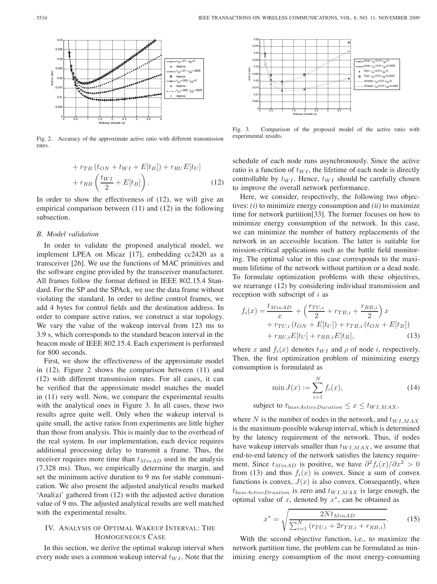

Fig. 2. Accuracy of the approximate active ratio with different transmission rates.

$$
+ r_{TB} (t_{ON} + t_{WI} + E[t_B]) + r_{RU} E[t_U]
$$

$$
+ r_{RB} \left(\frac{t_{WI}}{2} + E[t_B]\right). \tag{12}
$$

In order to show the effectiveness of (12), we will give an empirical comparison between (11) and (12) in the following subsection.

## *B. Model validation*

In order to validate the proposed analytical model, we implement LPEA on Micaz [17], embedding cc2420 as a transceiver [26]. We use the functions of MAC primitives and the software engine provided by the transceiver manufacturer. All frames follow the format defined in IEEE 802.15.4 Standard. For the SP and the SPAck, we use the data frame without violating the standard. In order to define control frames, we add 4 bytes for control fields and the destination address. In order to compare active ratios, we construct a star topology. We vary the value of the wakeup interval from 123 ms to 3.9 s, which corresponds to the standard beacon interval in the beacon mode of IEEE 802.15.4. Each experiment is performed for 800 seconds.

First, we show the effectiveness of the approximate model in (12). Figure 2 shows the comparison between (11) and (12) with different transmission rates. For all cases, it can be verified that the approximate model matches the model in (11) very well. Now, we compare the experimental results with the analytical ones in Figure 3. In all cases, these two results agree quite well. Only when the wakeup interval is quite small, the active ratios from experiments are little higher than those from analysis. This is mainly due to the overhead of the real system. In our implementation, each device requires additional processing delay to transmit a frame. Thus, the receiver requires more time than  $t_{MinAD}$  used in the analysis (7.328 ms). Thus, we empirically determine the margin, and set the minimum active duration to 9 ms for stable communication. We also present the adjusted analytical results marked 'Anal(a)' gathered from (12) with the adjusted active duration value of 9 ms. The adjusted analytical results are well matched with the experimental results.

# IV. ANALYSIS OF OPTIMAL WAKEUP INTERVAL: THE HOMOGENEOUS CASE

In this section, we derive the optimal wakeup interval when every node uses a common wakeup interval  $t_{WI}$ . Note that the



Fig. 3. Comparison of the proposed model of the active ratio with experimental results.

schedule of each node runs asynchronously. Since the active ratio is a function of  $t_{WI}$ , the lifetime of each node is directly controllable by  $t_{WI}$ . Hence,  $t_{WI}$  should be carefully chosen to improve the overall network performance.

Here, we consider, respectively, the following two objectives: *(i)* to minimize energy consumption and *(ii)* to maximize time for network partition[33]. The former focuses on how to minimize energy consumption of the network. In this case, we can minimize the number of battery replacements of the network in an accessible location. The latter is suitable for mission-critical applications such as the battle field monitoring. The optimal value in this case corresponds to the maximum lifetime of the network without partition or a dead node. To formulate optimization problems with these objectives, we rearrange (12) by considering individual transmission and reception with subscript of  $i$  as

$$
f_i(x) = \frac{t_{MinAD}}{x} + \left(\frac{r_{TU,i}}{2} + r_{TB,i} + \frac{r_{RB,i}}{2}\right)x + r_{TU,i} (t_{ON} + E[t_U]) + r_{TB,i} (t_{ON} + E[t_B]) + r_{RU,i} E[t_U] + r_{RB,i} E[t_B],
$$
\n(13)

where x and  $f_i(x)$  denotes  $t_{WI}$  and  $\rho$  of node i, respectively. Then, the first optimization problem of minimizing energy consumption is formulated as

$$
\min J(x) := \sum_{i=1}^{N} f_i(x),
$$
\n(14)

subject to  $t_{baseActiveDuration} \leq x \leq t_{WI, MAX}$ ,

where N is the number of nodes in the network, and  $t_{WIMAX}$ is the maximum-possible wakeup interval, which is determined by the latency requirement of the network. Thus, if nodes have wakeup intervals smaller than  $t_{WIMAX}$ , we assume that end-to-end latency of the network satisfies the latency requirement. Since  $t_{MinAD}$  is positive, we have  $\partial^2 f_i(x)/\partial x^2 > 0$ from (13) and thus  $f_i(x)$  is convex. Since a sum of convex functions is convex,  $J(x)$  is also convex. Consequently, when  $t_{baseActiveDruation}$  is zero and  $t_{WI,MAX}$  is large enough, the optimal value of  $x$ , denoted by  $x^*$ , can be obtained as

$$
x^* = \sqrt{\frac{2Nt_{MinAD}}{\sum_{i=1}^{N} (r_{TU,i} + 2r_{TB,i} + r_{RB,i})}}.
$$
 (15)

With the second objective function, i.e., to maximize the network partition time, the problem can be formulated as minimizing energy consumption of the most energy-consuming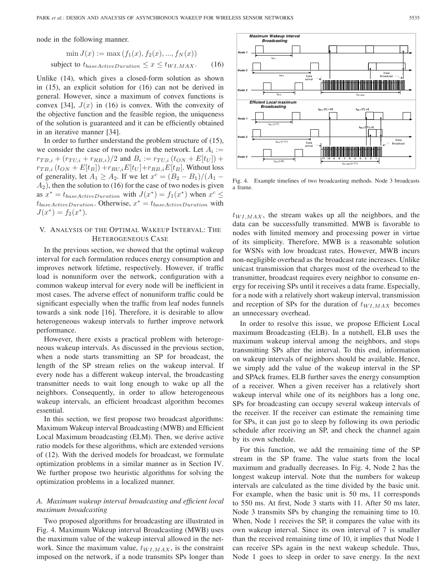node in the following manner.

$$
\min J(x) := \max \left( f_1(x), f_2(x), \dots, f_N(x) \right)
$$
\n
$$
\text{subject to } t_{baseActiveDuration} \le x \le t_{WI, MAX}. \tag{16}
$$

Unlike (14), which gives a closed-form solution as shown in (15), an explicit solution for (16) can not be derived in general. However, since a maximum of convex functions is convex [34],  $J(x)$  in (16) is convex. With the convexity of the objective function and the feasible region, the uniqueness of the solution is guaranteed and it can be efficiently obtained in an iterative manner [34].

In order to further understand the problem structure of (15), we consider the case of two nodes in the network. Let  $A_i :=$  $r_{TB,i} + (r_{TU,i} + r_{RB,i})/2$  and  $B_i := r_{TU,i} (t_{ON} + E[t_U]) +$  $r_{TB,i}$   $(t_{ON} + E[t_B]) + r_{RU,i}E[t_U] + r_{RB,i}E[t_B]$ . Without loss of generality, let  $A_1 \geq A_2$ . If we let  $x^c = (B_2 - B_1)/(A_1 A_2$ ), then the solution to (16) for the case of two nodes is given as  $x^* = t_{baseActiveDuration}$  with  $J(x^*) = f_1(x^*)$  when  $x^c \leq$  $t_{baseActiveDuration}$ . Otherwise,  $x^* = t_{baseActiveDuration}$  with  $J(x^*) = f_2(x^*).$ 

# V. ANALYSIS OF THE OPTIMAL WAKEUP INTERVAL: THE HETEROGENEOUS CASE

In the previous section, we showed that the optimal wakeup interval for each formulation reduces energy consumption and improves network lifetime, respectively. However, if traffic load is nonuniform over the network, configuration with a common wakeup interval for every node will be inefficient in most cases. The adverse effect of nonuniform traffic could be significant especially when the traffic from leaf nodes funnels towards a sink node [16]. Therefore, it is desirable to allow heterogeneous wakeup intervals to further improve network performance.

However, there exists a practical problem with heterogeneous wakeup intervals. As discussed in the previous section, when a node starts transmitting an SP for broadcast, the length of the SP stream relies on the wakeup interval. If every node has a different wakeup interval, the broadcasting transmitter needs to wait long enough to wake up all the neighbors. Consequently, in order to allow heterogeneous wakeup intervals, an efficient broadcast algorithm becomes essential.

In this section, we first propose two broadcast algorithms: Maximum Wakeup interval Broadcasting (MWB) and Efficient Local Maximum broadcasting (ELM). Then, we derive active ratio models for these algorithms, which are extended versions of (12). With the derived models for broadcast, we formulate optimization problems in a similar manner as in Section IV. We further propose two heuristic algorithms for solving the optimization problems in a localized manner.

# *A. Maximum wakeup interval broadcasting and efficient local maximum broadcasting*

Two proposed algorithms for broadcasting are illustrated in Fig. 4. Maximum Wakeup interval Broadcasting (MWB) uses the maximum value of the wakeup interval allowed in the network. Since the maximum value,  $t_{WI,MAX}$ , is the constraint imposed on the network, if a node transmits SPs longer than



Fig. 4. Example timelines of two broadcasting methods. Node 3 broadcasts a frame.

 $t_{W1,MAX}$ , the stream wakes up all the neighbors, and the data can be successfully transmitted. MWB is favorable to nodes with limited memory and processing power in virtue of its simplicity. Therefore, MWB is a reasonable solution for WSNs with low broadcast rates. However, MWB incurs non-negligible overhead as the broadcast rate increases. Unlike unicast transmission that charges most of the overhead to the transmitter, broadcast requires every neighbor to consume energy for receiving SPs until it receives a data frame. Especially, for a node with a relatively short wakeup interval, transmission and reception of SPs for the duration of  $t_{W I, MAX}$  becomes an unnecessary overhead.

In order to resolve this issue, we propose Efficient Local maximum Broadcasting (ELB). In a nutshell, ELB uses the maximum wakeup interval among the neighbors, and stops transmitting SPs after the interval. To this end, information on wakeup intervals of neighbors should be available. Hence, we simply add the value of the wakeup interval in the SP and SPAck frames. ELB further saves the energy consumption of a receiver. When a given receiver has a relatively short wakeup interval while one of its neighbors has a long one, SPs for broadcasting can occupy several wakeup intervals of the receiver. If the receiver can estimate the remaining time for SPs, it can just go to sleep by following its own periodic schedule after receiving an SP, and check the channel again by its own schedule.

For this function, we add the remaining time of the SP stream in the SP frame. The value starts from the local maximum and gradually decreases. In Fig. 4, Node 2 has the longest wakeup interval. Note that the numbers for wakeup intervals are calculated as the time divided by the basic unit. For example, when the basic unit is 50 ms, 11 corresponds to 550 ms. At first, Node 3 starts with 11. After 50 ms later, Node 3 transmits SPs by changing the remaining time to 10. When, Node 1 receives the SP, it compares the value with its own wakeup interval. Since its own interval of 7 is smaller than the received remaining time of 10, it implies that Node 1 can receive SPs again in the next wakeup schedule. Thus, Node 1 goes to sleep in order to save energy. In the next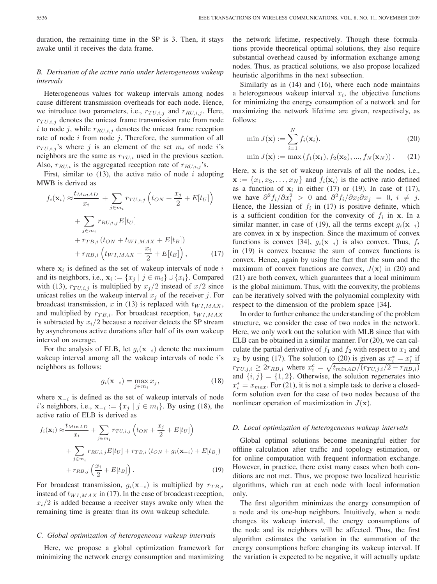duration, the remaining time in the SP is 3. Then, it stays awake until it receives the data frame.

# *B. Derivation of the active ratio under heterogeneous wakeup intervals*

Heterogeneous values for wakeup intervals among nodes cause different transmission overheads for each node. Hence, we introduce two parameters, i.e.,  $r_{TU,i,j}$  and  $r_{RU,i,j}$ . Here,  $r_{TU,i,j}$  denotes the unicast frame transmission rate from node i to node j, while  $r_{RU,i,j}$  denotes the unicast frame reception rate of node  $i$  from node  $j$ . Therefore, the summation of all  $r_{TU,i,j}$ 's where j is an element of the set  $m_i$  of node i's neighbors are the same as  $r_{TU,i}$  used in the previous section. Also,  $r_{RU,i}$  is the aggregated reception rate of  $r_{RU,i,j}$ 's.

First, similar to  $(13)$ , the active ratio of node *i* adopting MWB is derived as

$$
f_i(\mathbf{x}_i) \approx \frac{t_{MinAD}}{x_i} + \sum_{j \in m_i} r_{TU,i,j} \left( t_{ON} + \frac{x_j}{2} + E[t_U] \right)
$$
  
+ 
$$
\sum_{j \in m_i} r_{RU,i,j} E[t_U]
$$
  
+ 
$$
r_{TB,i} \left( t_{ON} + t_{WI,MAX} + E[t_B] \right)
$$
  
+ 
$$
r_{RB,i} \left( t_{WI,MAX} - \frac{x_i}{2} + E[t_B] \right),
$$
 (17)

where  $x_i$  is defined as the set of wakeup intervals of node  $i$ and its neighbors, i.e.,  $\mathbf{x}_i := \{x_i \mid j \in m_i\} \cup \{x_i\}$ . Compared with (13),  $r_{TU,i,j}$  is multiplied by  $x_j/2$  instead of  $x/2$  since unicast relies on the wakeup interval  $x_j$  of the receiver j. For broadcast transmission, x in (13) is replaced with  $t_{WIMAX}$ , and multiplied by  $r_{TB,i}$ . For broadcast reception,  $t_{WI,MAX}$ is subtracted by  $x_i/2$  because a receiver detects the SP stream by asynchronous active durations after half of its own wakeup interval on average.

For the analysis of ELB, let  $q_i(\mathbf{x}_{-i})$  denote the maximum wakeup interval among all the wakeup intervals of node  $i$ 's neighbors as follows:

$$
g_i(\mathbf{x}_{-i}) = \max_{j \in m_i} x_j,
$$
\n(18)

where  $\mathbf{x}_{-i}$  is defined as the set of wakeup intervals of node *i*'s neighbors, i.e.,  $\mathbf{x}_{-i} := \{x_i \mid j \in m_i\}$ . By using (18), the active ratio of ELB is derived as

$$
f_i(\mathbf{x}_i) \approx \frac{t_{MinAD}}{x_i} + \sum_{j \in m_i} r_{TU,i,j} \left( t_{ON} + \frac{x_j}{2} + E[t_U] \right)
$$
  
+ 
$$
\sum_{j \in m_i} r_{RU,i,j} E[t_U] + r_{TB,i} \left( t_{ON} + g_i(\mathbf{x}_{-i}) + E[t_B] \right)
$$
  
+ 
$$
r_{RB,j} \left( \frac{x_i}{2} + E[t_B] \right).
$$
 (19)

For broadcast transmission,  $g_i(\mathbf{x}_{-i})$  is multiplied by  $r_{TB,i}$ instead of  $t_{W I, MAX}$  in (17). In the case of broadcast reception,  $x_i/2$  is added because a receiver stays awake only when the remaining time is greater than its own wakeup schedule.

## *C. Global optimization of heterogeneous wakeup intervals*

Here, we propose a global optimization framework for minimizing the network energy consumption and maximizing the network lifetime, respectively. Though these formulations provide theoretical optimal solutions, they also require substantial overhead caused by information exchange among nodes. Thus, as practical solutions, we also propose localized heuristic algorithms in the next subsection.

Similarly as in (14) and (16), where each node maintains a heterogeneous wakeup interval  $x_i$ , the objective functions for minimizing the energy consumption of a network and for maximizing the network lifetime are given, respectively, as follows:

$$
\min J(\mathbf{x}) := \sum_{i=1}^{N} f_i(\mathbf{x}_i). \tag{20}
$$

$$
\min J(\mathbf{x}) := \max (f_1(\mathbf{x}_1), f_2(\mathbf{x}_2), ..., f_N(\mathbf{x}_N)). \quad (21)
$$

Here, **x** is the set of wakeup intervals of all the nodes, i.e.,  $\mathbf{x} := \{x_1, x_2, \dots, x_N\}$  and  $f_i(\mathbf{x}_i)$  is the active ratio defined as a function of  $x_i$  in either (17) or (19). In case of (17), we have  $\partial^2 f_i / \partial x_i^2 > 0$  and  $\partial^2 f_i / \partial x_i \partial x_j = 0$ ,  $i \neq j$ . Hence, the Hessian of  $f_i$  in (17) is positive definite, which is a sufficient condition for the convexity of  $f_i$  in **x**. In a similar manner, in case of (19), all the terms except  $g_i(\mathbf{x}_{-i})$ are convex in **x** by inspection. Since the maximum of convex functions is convex [34],  $g_i(\mathbf{x}_{-i})$  is also convex. Thus,  $f_i$ in (19) is convex because the sum of convex functions is convex. Hence, again by using the fact that the sum and the maximum of convex functions are convex,  $J(\mathbf{x})$  in (20) and (21) are both convex, which guarantees that a local minimum is the global minimum. Thus, with the convexity, the problems can be iteratively solved with the polynomial complexity with respect to the dimension of the problem space [34].

In order to further enhance the understanding of the problem structure, we consider the case of two nodes in the network. Here, we only work out the solution with MLB since that with ELB can be obtained in a similar manner. For (20), we can calculate the partial derivative of  $f_1$  and  $f_2$  with respect to  $x_1$  and  $x_2$  by using (17). The solution to (20) is given as  $x_i^* = x_i^c$  if  $r_{TU,j,i} \geq 2r_{RB,i}$  where  $x_i^c = \sqrt{t_{minAD}/(r_{TU,j,i}/2 - r_{RB,i})}$ and  $\{i, j\} = \{1, 2\}$ . Otherwise, the solution regenerates into  $x_i^* = x_{max}$ . For (21), it is not a simple task to derive a closedform solution even for the case of two nodes because of the nonlinear operation of maximization in  $J(\mathbf{x})$ .

#### *D. Local optimization of heterogeneous wakeup intervals*

Global optimal solutions become meaningful either for offline calculation after traffic and topology estimation, or for online computation with frequent information exchange. However, in practice, there exist many cases when both conditions are not met. Thus, we propose two localized heuristic algorithms, which run at each node with local information only.

The first algorithm minimizes the energy consumption of a node and its one-hop neighbors. Intuitively, when a node changes its wakeup interval, the energy consumptions of the node and its neighbors will be affected. Thus, the first algorithm estimates the variation in the summation of the energy consumptions before changing its wakeup interval. If the variation is expected to be negative, it will actually update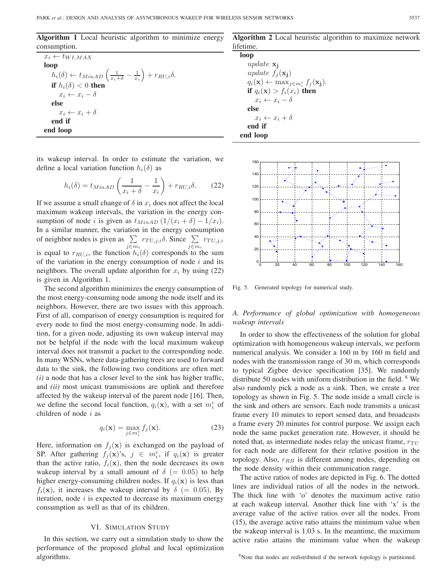**Algorithm 1** Local heuristic algorithm to minimize energy consumption.

| $x_i \leftarrow t_{WI,MAX}$                                                                                 |
|-------------------------------------------------------------------------------------------------------------|
| loop                                                                                                        |
| $h_i(\delta) \leftarrow t_{MinAD} \left( \frac{1}{x_i + \delta} - \frac{1}{x_i} \right) + r_{RU,i} \delta.$ |
| if $h_i(\delta) < 0$ then                                                                                   |
| $x_i \leftarrow x_i - \delta$                                                                               |
| else                                                                                                        |
| $x_i \leftarrow x_i + \delta$                                                                               |
| end if                                                                                                      |
| end loop                                                                                                    |

its wakeup interval. In order to estimate the variation, we define a local variation function  $h_i(\delta)$  as

$$
h_i(\delta) = t_{MinAD} \left( \frac{1}{x_i + \delta} - \frac{1}{x_i} \right) + r_{RU,i} \delta. \tag{22}
$$

If we assume a small change of  $\delta$  in  $x_i$  does not affect the local maximum wakeup intervals, the variation in the energy consumption of node *i* is given as  $t_{MinAD} (1/(x_i + \delta) - 1/x_i)$ . In a similar manner, the variation in the energy consumption of neighbor nodes is given as  $\sum$  $j \in m_i$  $r_{TU, j, i}\delta$ . Since  $\sum$  $j \in m_i$  $r_{TU,j,i}$ is equal to  $r_{BULi}$ , the function  $h_i(\delta)$  corresponds to the sum of the variation in the energy consumption of node  $i$  and its neighbors. The overall update algorithm for  $x_i$  by using (22) is given in Algorithm 1.

The second algorithm minimizes the energy consumption of the most energy-consuming node among the node itself and its neighbors. However, there are two issues with this approach. First of all, comparison of energy consumption is required for every node to find the most energy-consuming node. In addition, for a given node, adjusting its own wakeup interval may not be helpful if the node with the local maximum wakeup interval does not transmit a packet to the corresponding node. In many WSNs, where data-gathering trees are used to forward data to the sink, the following two conditions are often met: *(i)* a node that has a closer level to the sink has higher traffic, and *(ii)* most unicast transmissions are uplink and therefore affected by the wakeup interval of the parent node [16]. Then, we define the second local function,  $q_i(\mathbf{x})$ , with a set  $m_i^c$  of children of node  $i$  as

$$
q_i(\mathbf{x}) = \max_{j \in m_i^c} f_j(\mathbf{x}).
$$
\n(23)

Here, information on  $f_i(\mathbf{x})$  is exchanged on the payload of SP. After gathering  $f_j(\mathbf{x})$ 's,  $j \in m_i^c$ , if  $q_i(\mathbf{x})$  is greater than the active ratio,  $f_i(\mathbf{x})$ , then the node decreases its own wakeup interval by a small amount of  $\delta$  (= 0.05) to help higher energy-consuming children nodes. If  $q_i(\mathbf{x})$  is less than  $f_i(\mathbf{x})$ , it increases the wakeup interval by  $\delta$  (= 0.05). By iteration, node  $i$  is expected to decrease its maximum energy consumption as well as that of its children.

## VI. SIMULATION STUDY

In this section, we carry out a simulation study to show the performance of the proposed global and local optimization algorithms.

**Algorithm 2** Local heuristic algorithm to maximize network lifetime

| loop                                                               |
|--------------------------------------------------------------------|
| update $\mathbf{x}_i$                                              |
| update $f_i(\mathbf{x_i})$                                         |
| $q_i(\mathbf{x}) \leftarrow \max_{j \in m_i^c} f_j(\mathbf{x_j}).$ |
| if $q_i(\mathbf{x}) > f_i(x_i)$ then                               |
| $x_i \leftarrow x_i - \delta$                                      |
| else                                                               |
| $x_i \leftarrow x_i + \delta$                                      |
| end if                                                             |
| end loop                                                           |



Fig. 5. Generated topology for numerical study.

# *A. Performance of global optimization with homogeneous wakeup intervals*

In order to show the effectiveness of the solution for global optimization with homogeneous wakeup intervals, we perform numerical analysis. We consider a 160 m by 160 m field and nodes with the transmission range of 30 m, which corresponds to typical Zigbee device specification [35]. We randomly distribute 50 nodes with uniform distribution in the field. <sup>8</sup> We also randomly pick a node as a sink. Then, we create a tree topology as shown in Fig. 5. The node inside a small circle is the sink and others are sensors. Each node transmits a unicast frame every 10 minutes to report sensed data, and broadcasts a frame every 20 minutes for control purpose. We assign each node the same packet generation rate. However, it should be noted that, as intermediate nodes relay the unicast frame,  $r_{TU}$ for each node are different for their relative position in the topology. Also,  $r_{RB}$  is different among nodes, depending on the node density within their communication range.

The active ratios of nodes are depicted in Fig. 6. The dotted lines are individual ratios of all the nodes in the network. The thick line with 'o' denotes the maximum active ratio at each wakeup interval. Another thick line with 'x' is the average value of the active ratios over all the nodes. From (15), the average active ratio attains the minimum value when the wakeup interval is 1.03 s. In the meantime, the maximum active ratio attains the minimum value when the wakeup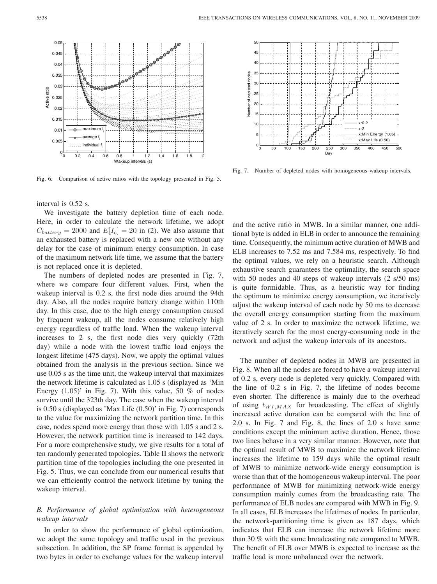

Fig. 6. Comparison of active ratios with the topology presented in Fig. 5.

interval is 0.52 s.

We investigate the battery depletion time of each node. Here, in order to calculate the network lifetime, we adopt  $C_{battery} = 2000$  and  $E[I_c] = 20$  in (2). We also assume that an exhausted battery is replaced with a new one without any delay for the case of minimum energy consumption. In case of the maximum network life time, we assume that the battery is not replaced once it is depleted.

The numbers of depleted nodes are presented in Fig. 7, where we compare four different values. First, when the wakeup interval is 0.2 s, the first node dies around the 94th day. Also, all the nodes require battery change within 110th day. In this case, due to the high energy consumption caused by frequent wakeup, all the nodes consume relatively high energy regardless of traffic load. When the wakeup interval increases to 2 s, the first node dies very quickly (72th day) while a node with the lowest traffic load enjoys the longest lifetime (475 days). Now, we apply the optimal values obtained from the analysis in the previous section. Since we use 0.05 s as the time unit, the wakeup interval that maximizes the network lifetime is calculated as 1.05 s (displayed as 'Min Energy  $(1.05)$ ' in Fig. 7). With this value, 50 % of nodes survive until the 323th day. The case when the wakeup interval is 0.50 s (displayed as 'Max Life (0.50)' in Fig. 7) corresponds to the value for maximizing the network partition time. In this case, nodes spend more energy than those with 1.05 s and 2 s. However, the network partition time is increased to 142 days. For a more comprehensive study, we give results for a total of ten randomly generated topologies. Table II shows the network partition time of the topologies including the one presented in Fig. 5. Thus, we can conclude from our numerical results that we can efficiently control the network lifetime by tuning the wakeup interval.

# *B. Performance of global optimization with heterogeneous wakeup intervals*

In order to show the performance of global optimization, we adopt the same topology and traffic used in the previous subsection. In addition, the SP frame format is appended by two bytes in order to exchange values for the wakeup interval



Fig. 7. Number of depleted nodes with homogeneous wakeup intervals.

and the active ratio in MWB. In a similar manner, one additional byte is added in ELB in order to announce the remaining time. Consequently, the minimum active duration of MWB and ELB increases to 7.52 ms and 7.584 ms, respectively. To find the optimal values, we rely on a heuristic search. Although exhaustive search guarantees the optimality, the search space with 50 nodes and 40 steps of wakeup intervals (2 s/50 ms) is quite formidable. Thus, as a heuristic way for finding the optimum to minimize energy consumption, we iteratively adjust the wakeup interval of each node by 50 ms to decrease the overall energy consumption starting from the maximum value of 2 s. In order to maximize the network lifetime, we iteratively search for the most energy-consuming node in the network and adjust the wakeup intervals of its ancestors.

The number of depleted nodes in MWB are presented in Fig. 8. When all the nodes are forced to have a wakeup interval of 0.2 s, every node is depleted very quickly. Compared with the line of 0.2 s in Fig. 7, the lifetime of nodes become even shorter. The difference is mainly due to the overhead of using  $t_{WI,MAX}$  for broadcasting. The effect of slightly increased active duration can be compared with the line of 2.0 s. In Fig. 7 and Fig. 8, the lines of 2.0 s have same conditions except the minimum active duration. Hence, those two lines behave in a very similar manner. However, note that the optimal result of MWB to maximize the network lifetime increases the lifetime to 159 days while the optimal result of MWB to minimize network-wide energy consumption is worse than that of the homogeneous wakeup interval. The poor performance of MWB for minimizing network-wide energy consumption mainly comes from the broadcasting rate. The performance of ELB nodes are compared with MWB in Fig. 9. In all cases, ELB increases the lifetimes of nodes. In particular, the network-partitioning time is given as 187 days, which indicates that ELB can increase the network lifetime more than 30 % with the same broadcasting rate compared to MWB. The benefit of ELB over MWB is expected to increase as the traffic load is more unbalanced over the network.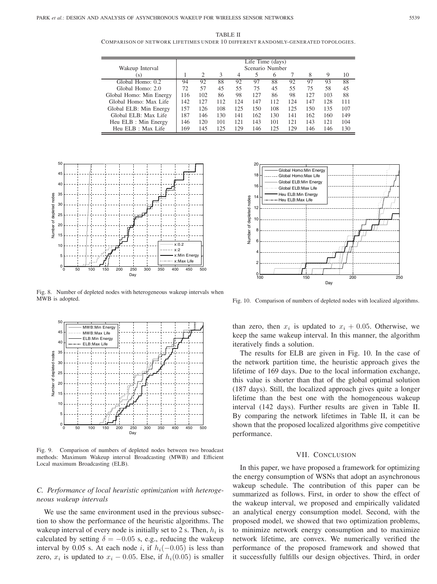TABLE II COMPARISON OF NETWORK LIFETIMES UNDER 10 DIFFERENT RANDOMLY-GENERATED TOPOLOGIES.

|                         | $\overline{\text{Life}}$ Time (days) |                             |     |     |     |          |     |     |     |     |
|-------------------------|--------------------------------------|-----------------------------|-----|-----|-----|----------|-----|-----|-----|-----|
| Wakeup Interval         | Scenario Number                      |                             |     |     |     |          |     |     |     |     |
| (s)                     |                                      | $\mathcal{D}_{\mathcal{L}}$ | 3   | 4   | 5   | $\sigma$ |     | 8   | 9   | 10  |
| Global Homo: 0.2        | 94                                   | 92                          | 88  | 92  | 97  | 88       | 92  | 97  | 93  | 88  |
| Global Homo: 2.0        | 72                                   | 57                          | 45  | 55  | 75  | 45       | 55  | 75  | 58  | 45  |
| Global Homo: Min Energy | 116                                  | 102                         | 86  | 98  | 127 | 86       | 98  | 127 | 103 | 88  |
| Global Homo: Max Life   | 142                                  | 127                         | 112 | 124 | 147 | 112      | 124 | 147 | 128 | 111 |
| Global ELB: Min Energy  | 157                                  | 126                         | 108 | 125 | 150 | 108      | 125 | 150 | 135 | 107 |
| Global ELB: Max Life    | 187                                  | 146                         | 130 | 141 | 162 | 130      | 141 | 162 | 160 | 149 |
| Heu ELB : Min Energy    | 146                                  | 120                         | 101 | 121 | 143 | 101      | 121 | 143 | 121 | 104 |
| Heu ELB : Max Life      | 169                                  | 145                         | 125 | 129 | 146 | 125      | 129 | 146 | 146 | 130 |



Fig. 8. Number of depleted nodes with heterogeneous wakeup intervals when MWB is adopted.



Fig. 9. Comparison of numbers of depleted nodes between two broadcast methods: Maximum Wakeup interval Broadcasting (MWB) and Efficient Local maximum Broadcasting (ELB).

# *C. Performance of local heuristic optimization with heterogeneous wakeup intervals*

We use the same environment used in the previous subsection to show the performance of the heuristic algorithms. The wakeup interval of every node is initially set to 2 s. Then,  $h_i$  is calculated by setting  $\delta = -0.05$  s, e.g., reducing the wakeup interval by 0.05 s. At each node i, if  $h_i(-0.05)$  is less than zero,  $x_i$  is updated to  $x_i - 0.05$ . Else, if  $h_i(0.05)$  is smaller



Fig. 10. Comparison of numbers of depleted nodes with localized algorithms.

than zero, then  $x_i$  is updated to  $x_i + 0.05$ . Otherwise, we keep the same wakeup interval. In this manner, the algorithm iteratively finds a solution.

The results for ELB are given in Fig. 10. In the case of the network partition time, the heuristic approach gives the lifetime of 169 days. Due to the local information exchange, this value is shorter than that of the global optimal solution (187 days). Still, the localized approach gives quite a longer lifetime than the best one with the homogeneous wakeup interval (142 days). Further results are given in Table II. By comparing the network lifetimes in Table II, it can be shown that the proposed localized algorithms give competitive performance.

# VII. CONCLUSION

In this paper, we have proposed a framework for optimizing the energy consumption of WSNs that adopt an asynchronous wakeup schedule. The contribution of this paper can be summarized as follows. First, in order to show the effect of the wakeup interval, we proposed and empirically validated an analytical energy consumption model. Second, with the proposed model, we showed that two optimization problems, to minimize network energy consumption and to maximize network lifetime, are convex. We numerically verified the performance of the proposed framework and showed that it successfully fulfills our design objectives. Third, in order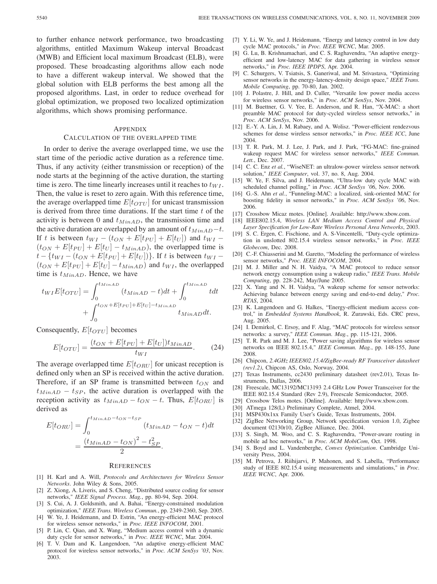to further enhance network performance, two broadcasting algorithms, entitled Maximum Wakeup interval Broadcast (MWB) and Efficient local maximum Broadcast (ELB), were proposed. These broadcasting algorithms allow each node to have a different wakeup interval. We showed that the global solution with ELB performs the best among all the proposed algorithms. Last, in order to reduce overhead for global optimization, we proposed two localized optimization algorithms, which shows promising performance.

## **APPENDIX**

### CALCULATION OF THE OVERLAPPED TIME

In order to derive the average overlapped time, we use the start time of the periodic active duration as a reference time. Thus, if any activity (either transmission or reception) of the node starts at the beginning of the active duration, the starting time is zero. The time linearly increases until it reaches to  $t_{WI}$ . Then, the value is reset to zero again. With this reference time, the average overlapped time  $E[t<sub>OTU</sub>]$  for unicast transmission is derived from three time durations. If the start time  $t$  of the activity is between 0 and  $t_{MinAD}$ , the transmission time and the active duration are overlapped by an amount of  $t_{MinAD} - t$ . If t is between  $t_{WI} - (t_{ON} + E[t_{PU}] + E[t_U])$  and  $t_{WI} (t_{ON} + E[t_{PU}] + E[t_{U}] - t_{MinAD})$ , the overlapped time is  $t - {t_{WI} - (t_{ON} + E[t_{PU}] + E[t_U])}.$  If t is between  $t_{WI} (t_{ON} + E[t_{PU}] + E[t_{U}] - t_{MinAD})$  and  $t_{WI}$ , the overlapped time is  $t_{MinAD}$ . Hence, we have

$$
t_{WI}E[t_{OTU}] = \int_0^{t_{MinAD}} (t_{MinAD} - t)dt + \int_0^{t_{MinAD}} tdt + \int_0^{t_{MinAD}} tdt + \int_0^{t_{ON} + E[t_{PU}] + E[t_U] - t_{MinAD}} t_{MinAD}dt.
$$

Consequently,  $E[t_{OTU}]$  becomes

$$
E[t_{OTU}] = \frac{(t_{ON} + E[t_{PU}] + E[t_U])t_{MinAD}}{t_{WI}}.
$$
 (24)

The average overlapped time  $E[t_{ORU}]$  for unicast reception is defined only when an SP is received within the active duration. Therefore, if an SP frame is transmitted between  $t_{ON}$  and  $t_{MinAD} - t_{SP}$ , the active duration is overlapped with the reception activity as  $t_{MinAD} - t_{ON} - t$ . Thus,  $E[t_{ORU}]$  is derived as

$$
E[t_{ORU}] = \int_0^{t_{MinAD} - t_{ON} - t_{SP}} (t_{MinAD} - t_{ON} - t)dt
$$
  
= 
$$
\frac{(t_{MinAD} - t_{ON})^2 - t_{SP}^2}{2}.
$$

#### REFERENCES

- [1] H. Karl and A. Will, *Protocols and Architectures for Wireless Sensor Networks*. John Wiley & Sons, 2005.
- [2] Z. Xiong, A. Liveris, and S. Cheng, "Distributed source coding for sensor networks," *IEEE Signal Process. Mag.*, pp. 80-94, Sep. 2004.
- [3] S. Cui, A. J. Goldsmith, and A. Bahai, "Energy-constrained modulation optimization," *IEEE Trans. Wireless Commun.*, pp. 2349-2360, Sep. 2005.
- [4] W. Ye, J. Heidemann, and D. Estrin, "An energy-efficient MAC protocol for wireless sensor networks," in *Proc. IEEE INFOCOM*, 2001.
- [5] P. Lin, C. Qiao, and X. Wang, "Medium access control with a dynamic duty cycle for sensor networks," in *Proc. IEEE WCNC*, Mar. 2004.
- [6] T. V. Dam and K. Langendoen, "An adaptive energy-efficient MAC protocol for wireless sensor networks," in *Proc. ACM SenSys '03*, Nov. 2003.
- [7] Y. Li, W. Ye, and J. Heidemann, "Energy and latency control in low duty cycle MAC protocols," in *Proc. IEEE WCNC*, Mar. 2005.
- [8] G. Lu, B. Krishnamachari, and C. S. Raghavendra, "An adaptive energyefficient and low-latency MAC for data gathering in wireless sensor networks," in *Proc. IEEE IPDPS*, Apr. 2004.
- [9] C. Schurgers, V. Tsiatsis, S. Ganeriwal, and M. Srivastava, "Optimizing sensor networks in the energy-latency-density design space," *IEEE Trans. Mobile Computing*, pp. 70-80, Jan. 2002.
- [10] J. Polastre, J. Hill, and D. Culler, "Versatile low power media access for wireless sensor networks," in *Proc. ACM SenSys*, Nov. 2004.
- [11] M. Buettner, G. V. Yee, E. Anderson, and R. Han, "X-MAC: a short preamble MAC protocol for duty-cycled wireless sensor networks," in *Proc. ACM SenSys*, Nov. 2006.
- [12] E.-Y. A. Lin, J. M. Rabaey, and A. Wolisz. "Power-efficient rendezvous schemes for dense wireless sensor networks," in *Proc. IEEE ICC*, June 2004.
- [13] T. R. Park, M. J. Lee, J. Park, and J. Park, "FG-MAC: fine-grained wakeup request MAC for wireless sensor networks," *IEEE Commun. Lett.*, Dec. 2007.
- [14] C. C. Enz et al., "WiseNET: an ultralow-power wireless sensor network solution," *IEEE Computer*, vol. 37, no. 8, Aug. 2004.
- [15] W. Ye, F. Silva, and J. Heidemann, "Ultra-low duty cycle MAC with scheduled channel polling," in *Proc. ACM SenSys '06*, Nov. 2006.
- [16] G.-S. Ahn et al., "Funneling-MAC: a localized, sink-oriented MAC for boosting fidelity in sensor networks," in *Proc. ACM SenSys '06*, Nov. 2006.
- [17] Crossbow Micaz motes. [Online]. Available: http://www.xbow.com.
- [18] IEEE802.15.4, *Wireless LAN Medium Access Control and Physical Layer Specification for Low-Rate Wireless Personal Area Networks*, 2003.
- [19] S. C. Ergen, C. Fischione, and A. S-Vincentelli, "Duty-cycle optimization in unslotted 802.15.4 wireless sensor networks," in *Proc. IEEE Globecom*, Dec. 2008.
- [20] C.-F. Chiasserini and M. Garetto, "Modeling the performance of wireless sensor networks," *Proc. IEEE INFOCOM*, 2004.
- [21] M. J. Miller and N. H. Vaidya, "A MAC protocol to reduce sensor network energy consumption using a wakeup radio," *IEEE Trans. Mobile Computing*, pp. 228-242, May/June 2005.
- [22] X. Yang and N. H. Vaidya, "A wakeup scheme for sensor networks: Achieving balance between energy saving and end-to-end delay," *Proc. RTAS*, 2004.
- [23] K. Langendoen and G. Halkes, "Energy-efficient medium access control," in *Embedded Systems Handbook*, R. Zurawski, Eds. CRC press, Aug. 2005.
- [24] I. Demirkol, C. Ersoy, and F. Alag, "MAC protocols for wireless sensor networks: a survey," *IEEE Commun. Mag.*, pp. 115-121, 2006.
- [25] T. R. Park and M. J. Lee, "Power saving algorithms for wireless sensor networks on IEEE 802.15.4," *IEEE Commun. Mag.*, pp. 148-155, June 2008.
- [26] Chipcon, *2.4GHz IEEE802.15.4/ZigBee-ready RF Transceiver datasheet (rev1.2)*, Chipcon AS, Oslo, Norway, 2004.
- [27] Texas Instruments, cc2430 preliminary datasheet (rev2.01), Texas Instruments, Dallas, 2006.
- [28] Freescale, MC13192/MC13193 2.4 GHz Low Power Transceiver for the IEEE 802.15.4 Standard (Rev 2.9), Freescale Semiconductor, 2005.
- [29] Crossbow Telos motes. [Online]. Available: http://www.xbow.com.
- [30] ATmega 128(L) Preliminary Complete, Atmel, 2004.
- [31] MSP430x1xx Family User's Guide, Texas Instruments, 2004.
- [32] ZigBee Networking Group, Network specification version 1.0, Zigbee document 02130r10, ZigBee Alliance, Dec. 2004.
- [33] S. Singh, M. Woo, and C. S. Raghavendra, "Power-aware routing in mobile ad hoc networks," in *Proc. ACM MobiCom*, Oct. 1998.
- [34] S. Boyd and L. Vandenberghe, *Convex Optimization*. Cambridge University Press, 2004.
- [35] M. Petrova, J. Riihijarvi, P. Mahonen, and S. Labella, "Performance study of IEEE 802.15.4 using measurements and simulations," in *Proc. IEEE WCNC*, Apr. 2006.